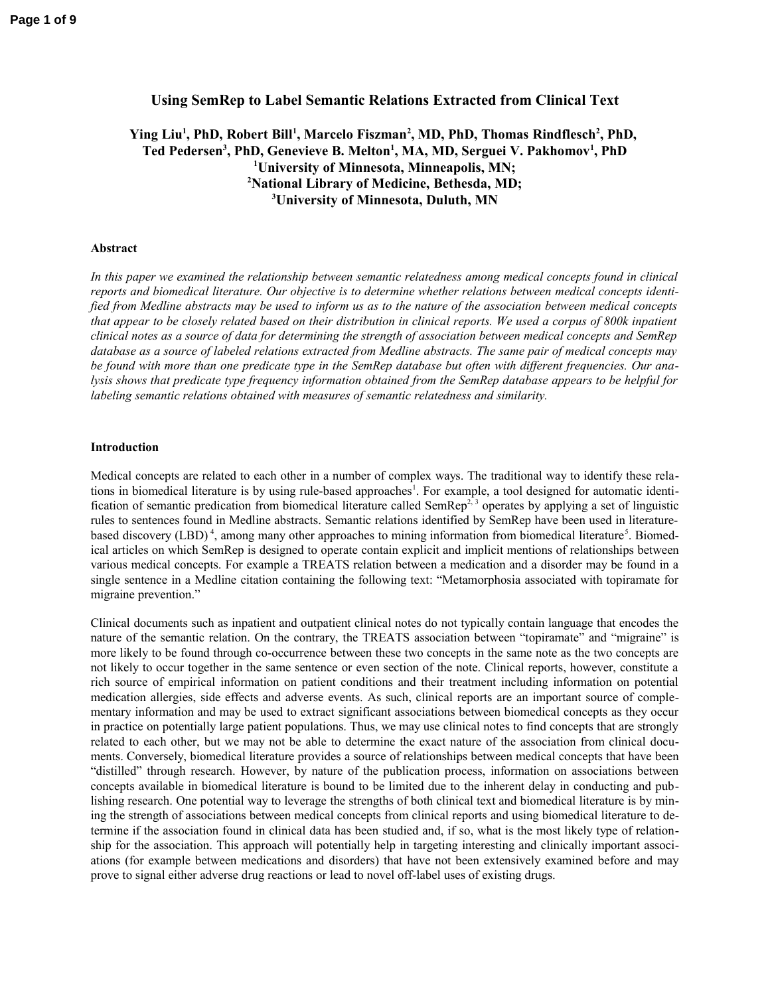# **Using SemRep to Label Semantic Relations Extracted from Clinical Text**

# **Ying Liu<sup>1</sup> , PhD, Robert Bill<sup>1</sup> , Marcelo Fiszman<sup>2</sup> , MD, PhD, Thomas Rindflesch<sup>2</sup> , PhD, Ted Pedersen<sup>3</sup> , PhD, Genevieve B. Melton<sup>1</sup> , MA, MD, Serguei V. Pakhomov<sup>1</sup> , PhD <sup>1</sup>University of Minnesota, Minneapolis, MN; <sup>2</sup>National Library of Medicine, Bethesda, MD; <sup>3</sup>University of Minnesota, Duluth, MN**

## **Abstract**

*In this paper we examined the relationship between semantic relatedness among medical concepts found in clinical reports and biomedical literature. Our objective is to determine whether relations between medical concepts identified from Medline abstracts may be used to inform us as to the nature of the association between medical concepts that appear to be closely related based on their distribution in clinical reports. We used a corpus of 800k inpatient clinical notes as a source of data for determining the strength of association between medical concepts and SemRep database as a source of labeled relations extracted from Medline abstracts. The same pair of medical concepts may be found with more than one predicate type in the SemRep database but often with different frequencies. Our analysis shows that predicate type frequency information obtained from the SemRep database appears to be helpful for labeling semantic relations obtained with measures of semantic relatedness and similarity.*

# **Introduction**

Medical concepts are related to each other in a number of complex ways. The traditional way to identify these relations in biomedical literature is by using rule-based approaches<sup>1</sup>. For example, a tool designed for automatic identification of semantic predication from biomedical literature called SemRep<sup>2, 3</sup> operates by applying a set of linguistic rules to sentences found in Medline abstracts. Semantic relations identified by SemRep have been used in literaturebased discovery (LBD)<sup>4</sup>, among many other approaches to mining information from biomedical literature<sup>5</sup>. Biomedical articles on which SemRep is designed to operate contain explicit and implicit mentions of relationships between various medical concepts. For example a TREATS relation between a medication and a disorder may be found in a single sentence in a Medline citation containing the following text: "Metamorphosia associated with topiramate for migraine prevention."

Clinical documents such as inpatient and outpatient clinical notes do not typically contain language that encodes the nature of the semantic relation. On the contrary, the TREATS association between "topiramate" and "migraine" is more likely to be found through co-occurrence between these two concepts in the same note as the two concepts are not likely to occur together in the same sentence or even section of the note. Clinical reports, however, constitute a rich source of empirical information on patient conditions and their treatment including information on potential medication allergies, side effects and adverse events. As such, clinical reports are an important source of complementary information and may be used to extract significant associations between biomedical concepts as they occur in practice on potentially large patient populations. Thus, we may use clinical notes to find concepts that are strongly related to each other, but we may not be able to determine the exact nature of the association from clinical documents. Conversely, biomedical literature provides a source of relationships between medical concepts that have been "distilled" through research. However, by nature of the publication process, information on associations between concepts available in biomedical literature is bound to be limited due to the inherent delay in conducting and publishing research. One potential way to leverage the strengths of both clinical text and biomedical literature is by mining the strength of associations between medical concepts from clinical reports and using biomedical literature to determine if the association found in clinical data has been studied and, if so, what is the most likely type of relationship for the association. This approach will potentially help in targeting interesting and clinically important associations (for example between medications and disorders) that have not been extensively examined before and may prove to signal either adverse drug reactions or lead to novel off-label uses of existing drugs.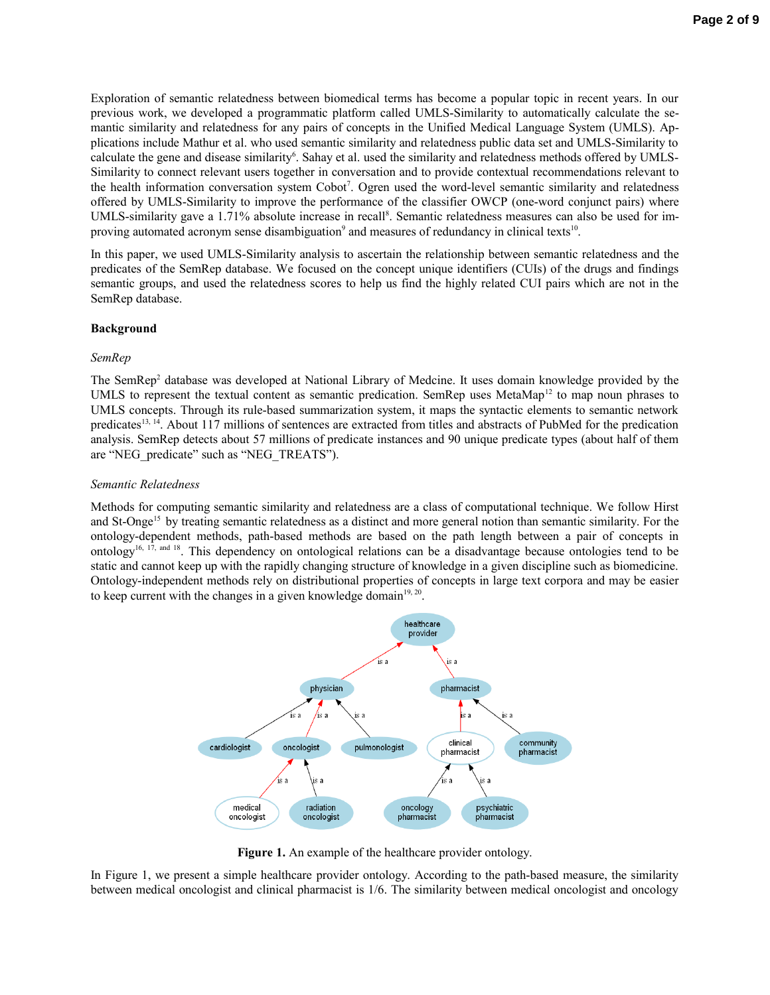Exploration of semantic relatedness between biomedical terms has become a popular topic in recent years. In our previous work, we developed a programmatic platform called UMLS-Similarity to automatically calculate the semantic similarity and relatedness for any pairs of concepts in the Unified Medical Language System (UMLS). Applications include Mathur et al. who used semantic similarity and relatedness public data set and UMLS-Similarity to calculate the gene and disease similarity<sup>6</sup>. Sahay et al. used the similarity and relatedness methods offered by UMLS-Similarity to connect relevant users together in conversation and to provide contextual recommendations relevant to the health information conversation system Cobot<sup>7</sup>. Ogren used the word-level semantic similarity and relatedness offered by UMLS-Similarity to improve the performance of the classifier OWCP (one-word conjunct pairs) where UMLS-similarity gave a 1.71% absolute increase in recall<sup>8</sup>. Semantic relatedness measures can also be used for improving automated acronym sense disambiguation<sup>9</sup> and measures of redundancy in clinical texts<sup>10</sup>.

In this paper, we used UMLS-Similarity analysis to ascertain the relationship between semantic relatedness and the predicates of the SemRep database. We focused on the concept unique identifiers (CUIs) of the drugs and findings semantic groups, and used the relatedness scores to help us find the highly related CUI pairs which are not in the SemRep database.

# **Background**

## *SemRep*

The SemRep<sup>2</sup> database was developed at National Library of Medcine. It uses domain knowledge provided by the UMLS to represent the textual content as semantic predication. SemRep uses MetaMap<sup>12</sup> to map noun phrases to UMLS concepts. Through its rule-based summarization system, it maps the syntactic elements to semantic network predicates<sup>13, 14</sup>. About 117 millions of sentences are extracted from titles and abstracts of PubMed for the predication analysis. SemRep detects about 57 millions of predicate instances and 90 unique predicate types (about half of them are "NEG\_predicate" such as "NEG\_TREATS").

# *Semantic Relatedness*

Methods for computing semantic similarity and relatedness are a class of computational technique. We follow Hirst and St-Onge<sup>15</sup> by treating semantic relatedness as a distinct and more general notion than semantic similarity. For the ontology-dependent methods, path-based methods are based on the path length between a pair of concepts in ontology<sup>16, 17, and 18</sup>. This dependency on ontological relations can be a disadvantage because ontologies tend to be static and cannot keep up with the rapidly changing structure of knowledge in a given discipline such as biomedicine. Ontology-independent methods rely on distributional properties of concepts in large text corpora and may be easier to keep current with the changes in a given knowledge domain $19, 20$ .



Figure 1. An example of the healthcare provider ontology.

In Figure 1, we present a simple healthcare provider ontology. According to the path-based measure, the similarity between medical oncologist and clinical pharmacist is 1/6. The similarity between medical oncologist and oncology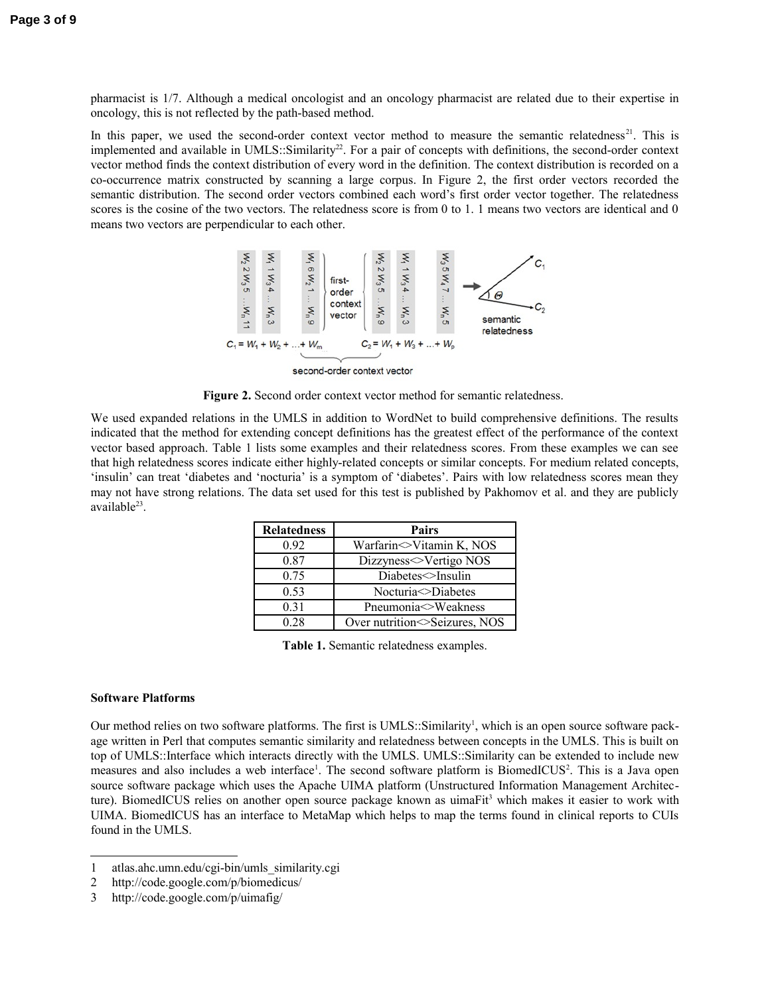pharmacist is 1/7. Although a medical oncologist and an oncology pharmacist are related due to their expertise in oncology, this is not reflected by the path-based method.

In this paper, we used the second-order context vector method to measure the semantic relatedness<sup>21</sup>. This is implemented and available in UMLS::Similarity<sup>22</sup>. For a pair of concepts with definitions, the second-order context vector method finds the context distribution of every word in the definition. The context distribution is recorded on a co-occurrence matrix constructed by scanning a large corpus. In Figure 2, the first order vectors recorded the semantic distribution. The second order vectors combined each word's first order vector together. The relatedness scores is the cosine of the two vectors. The relatedness score is from 0 to 1. 1 means two vectors are identical and 0 means two vectors are perpendicular to each other.



**Figure 2.** Second order context vector method for semantic relatedness.

We used expanded relations in the UMLS in addition to WordNet to build comprehensive definitions. The results indicated that the method for extending concept definitions has the greatest effect of the performance of the context vector based approach. Table 1 lists some examples and their relatedness scores. From these examples we can see that high relatedness scores indicate either highly-related concepts or similar concepts. For medium related concepts, 'insulin' can treat 'diabetes and 'nocturia' is a symptom of 'diabetes'. Pairs with low relatedness scores mean they may not have strong relations. The data set used for this test is published by Pakhomov et al. and they are publicly available<sup>23</sup>.

| <b>Relatedness</b> | <b>Pairs</b>                 |  |
|--------------------|------------------------------|--|
| 0.92               | Warfarin<>Vitamin K, NOS     |  |
| 0.87               | Dizzyness<>Vertigo NOS       |  |
| 0.75               | Diabetes insulin             |  |
| 0.53               | Nocturia > Diabetes          |  |
| 0.31               | Pneumonia  Sweakness         |  |
| 0.28               | Over nutrition Seizures, NOS |  |

**Table 1.** Semantic relatedness examples.

#### **Software Platforms**

Our method relies on two software platforms. The first is  $UMLS$ :: Similarity<sup>[1](#page-2-0)</sup>, which is an open source software package written in Perl that computes semantic similarity and relatedness between concepts in the UMLS. This is built on top of UMLS::Interface which interacts directly with the UMLS. UMLS::Similarity can be extended to include new measures and also includes a web interface<sup>1</sup>. The second software platform is BiomedICUS<sup>[2](#page-2-1)</sup>. This is a Java open source software package which uses the Apache UIMA platform (Unstructured Information Management Architec-ture). BiomedICUS relies on another open source package known as uimaFit<sup>[3](#page-2-2)</sup> which makes it easier to work with UIMA. BiomedICUS has an interface to MetaMap which helps to map the terms found in clinical reports to CUIs found in the UMLS.

<span id="page-2-0"></span><sup>1</sup> atlas.ahc.umn.edu/cgi-bin/umls\_similarity.cgi

<span id="page-2-1"></span><sup>2</sup> http://code.google.com/p/biomedicus/

<span id="page-2-2"></span><sup>3</sup> http://code.google.com/p/uimafig/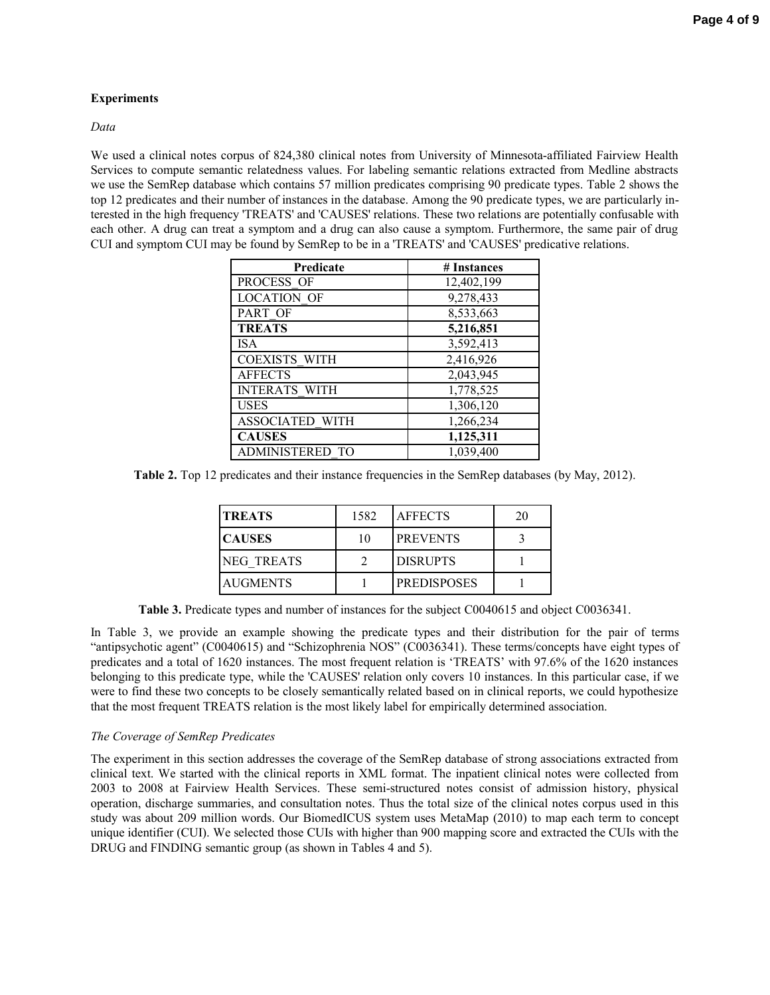## **Experiments**

## *Data*

We used a clinical notes corpus of 824,380 clinical notes from University of Minnesota-affiliated Fairview Health Services to compute semantic relatedness values. For labeling semantic relations extracted from Medline abstracts we use the SemRep database which contains 57 million predicates comprising 90 predicate types. Table 2 shows the top 12 predicates and their number of instances in the database. Among the 90 predicate types, we are particularly interested in the high frequency 'TREATS' and 'CAUSES' relations. These two relations are potentially confusable with each other. A drug can treat a symptom and a drug can also cause a symptom. Furthermore, the same pair of drug CUI and symptom CUI may be found by SemRep to be in a 'TREATS' and 'CAUSES' predicative relations.

| Predicate              | # Instances |
|------------------------|-------------|
| PROCESS OF             | 12,402,199  |
| <b>LOCATION OF</b>     | 9,278,433   |
| PART OF                | 8,533,663   |
| <b>TREATS</b>          | 5,216,851   |
| <b>ISA</b>             | 3,592,413   |
| <b>COEXISTS WITH</b>   | 2,416,926   |
| <b>AFFECTS</b>         | 2,043,945   |
| <b>INTERATS WITH</b>   | 1,778,525   |
| <b>USES</b>            | 1,306,120   |
| <b>ASSOCIATED WITH</b> | 1,266,234   |
| <b>CAUSES</b>          | 1,125,311   |
| <b>ADMINISTERED TO</b> | 1,039,400   |

**Table 2.** Top 12 predicates and their instance frequencies in the SemRep databases (by May, 2012).

| <b>TREATS</b>   | 1582 | <b>AFFECTS</b>     | 20 |
|-----------------|------|--------------------|----|
| <b>CAUSES</b>   | 10   | <b>PREVENTS</b>    |    |
| INEG TREATS     |      | <b>DISRUPTS</b>    |    |
| <b>AUGMENTS</b> |      | <b>PREDISPOSES</b> |    |

**Table 3.** Predicate types and number of instances for the subject C0040615 and object C0036341.

In Table 3, we provide an example showing the predicate types and their distribution for the pair of terms "antipsychotic agent" (C0040615) and "Schizophrenia NOS" (C0036341). These terms/concepts have eight types of predicates and a total of 1620 instances. The most frequent relation is 'TREATS' with 97.6% of the 1620 instances belonging to this predicate type, while the 'CAUSES' relation only covers 10 instances. In this particular case, if we were to find these two concepts to be closely semantically related based on in clinical reports, we could hypothesize that the most frequent TREATS relation is the most likely label for empirically determined association.

# *The Coverage of SemRep Predicates*

The experiment in this section addresses the coverage of the SemRep database of strong associations extracted from clinical text. We started with the clinical reports in XML format. The inpatient clinical notes were collected from 2003 to 2008 at Fairview Health Services. These semi-structured notes consist of admission history, physical operation, discharge summaries, and consultation notes. Thus the total size of the clinical notes corpus used in this study was about 209 million words. Our BiomedICUS system uses MetaMap (2010) to map each term to concept unique identifier (CUI). We selected those CUIs with higher than 900 mapping score and extracted the CUIs with the DRUG and FINDING semantic group (as shown in Tables 4 and 5).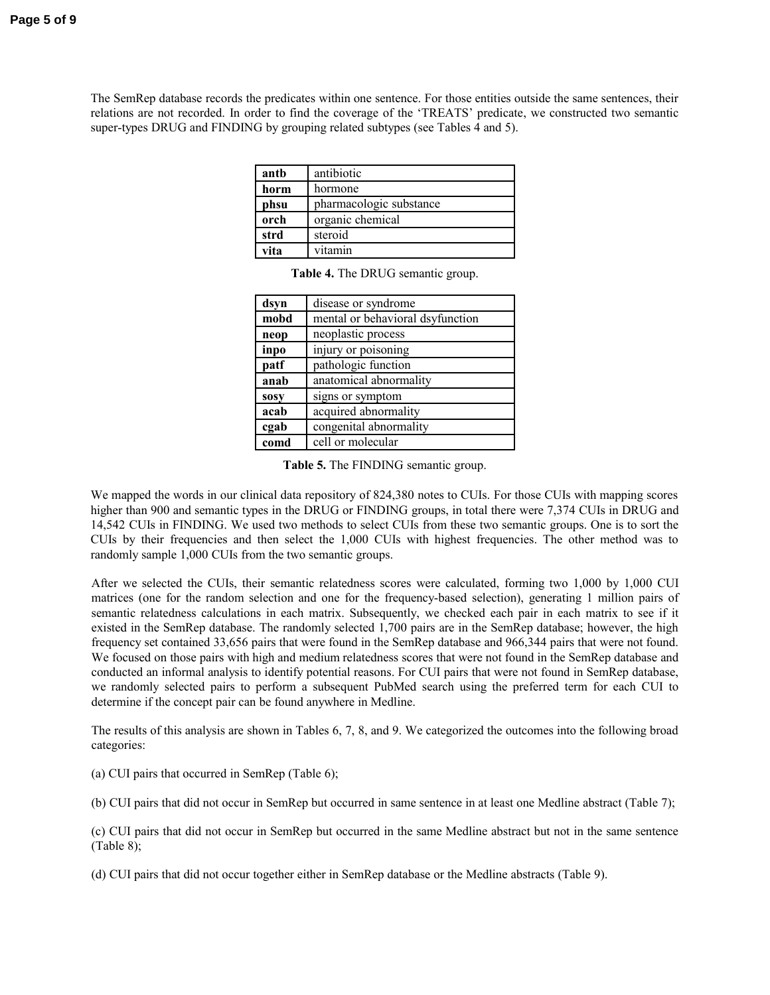The SemRep database records the predicates within one sentence. For those entities outside the same sentences, their relations are not recorded. In order to find the coverage of the 'TREATS' predicate, we constructed two semantic super-types DRUG and FINDING by grouping related subtypes (see Tables 4 and 5).

| antb | antibiotic              |
|------|-------------------------|
| horm | hormone                 |
| phsu | pharmacologic substance |
| orch | organic chemical        |
| strd | steroid                 |
| vita | vitamin                 |

**Table 4.** The DRUG semantic group.

| dsyn        | disease or syndrome              |
|-------------|----------------------------------|
| mobd        | mental or behavioral dsyfunction |
| neop        | neoplastic process               |
| inpo        | injury or poisoning              |
| patf        | pathologic function              |
| anab        | anatomical abnormality           |
| <b>SOSV</b> | signs or symptom                 |
| acab        | acquired abnormality             |
| cgab        | congenital abnormality           |
| comd        | cell or molecular                |

**Table 5.** The FINDING semantic group.

We mapped the words in our clinical data repository of 824,380 notes to CUIs. For those CUIs with mapping scores higher than 900 and semantic types in the DRUG or FINDING groups, in total there were 7,374 CUIs in DRUG and 14,542 CUIs in FINDING. We used two methods to select CUIs from these two semantic groups. One is to sort the CUIs by their frequencies and then select the 1,000 CUIs with highest frequencies. The other method was to randomly sample 1,000 CUIs from the two semantic groups.

After we selected the CUIs, their semantic relatedness scores were calculated, forming two 1,000 by 1,000 CUI matrices (one for the random selection and one for the frequency-based selection), generating 1 million pairs of semantic relatedness calculations in each matrix. Subsequently, we checked each pair in each matrix to see if it existed in the SemRep database. The randomly selected 1,700 pairs are in the SemRep database; however, the high frequency set contained 33,656 pairs that were found in the SemRep database and 966,344 pairs that were not found. We focused on those pairs with high and medium relatedness scores that were not found in the SemRep database and conducted an informal analysis to identify potential reasons. For CUI pairs that were not found in SemRep database, we randomly selected pairs to perform a subsequent PubMed search using the preferred term for each CUI to determine if the concept pair can be found anywhere in Medline.

The results of this analysis are shown in Tables 6, 7, 8, and 9. We categorized the outcomes into the following broad categories:

(a) CUI pairs that occurred in SemRep (Table 6);

(b) CUI pairs that did not occur in SemRep but occurred in same sentence in at least one Medline abstract (Table 7);

(c) CUI pairs that did not occur in SemRep but occurred in the same Medline abstract but not in the same sentence (Table 8);

(d) CUI pairs that did not occur together either in SemRep database or the Medline abstracts (Table 9).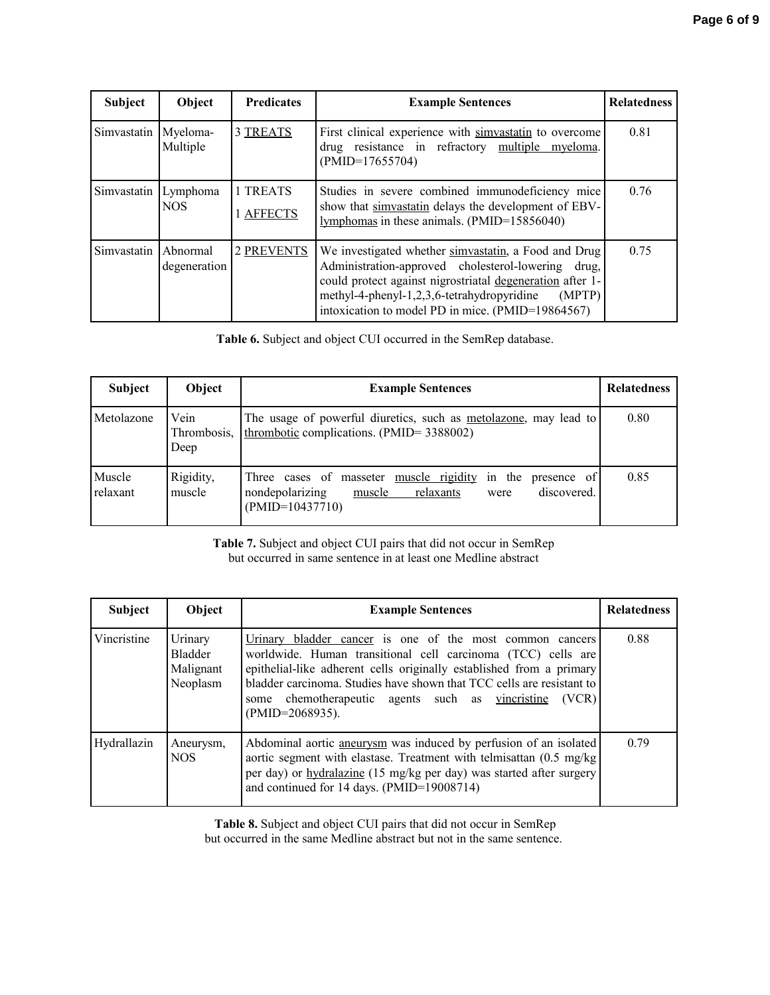| Subject     | Object                       | <b>Predicates</b>     | <b>Example Sentences</b>                                                                                                                                                                                                                                                             | <b>Relatedness</b> |
|-------------|------------------------------|-----------------------|--------------------------------------------------------------------------------------------------------------------------------------------------------------------------------------------------------------------------------------------------------------------------------------|--------------------|
| Simvastatin | Myeloma-<br>Multiple         | 3 TREATS              | First clinical experience with simvastatin to overcome<br>drug resistance in refractory multiple myeloma.<br>$(PMID=17655704)$                                                                                                                                                       | 0.81               |
| Simvastatin | Lymphoma<br>NOS <sup>.</sup> | 1 TREATS<br>1 AFFECTS | Studies in severe combined immunodeficiency mice<br>show that simvastatin delays the development of EBV-<br>lymphomas in these animals. (PMID=15856040)                                                                                                                              | 0.76               |
| Simvastatin | Abnormal<br>degeneration     | 2 PREVENTS            | We investigated whether simvastatin, a Food and Drug<br>Administration-approved cholesterol-lowering drug,<br>could protect against nigrostriatal degeneration after 1-<br>methyl-4-phenyl-1,2,3,6-tetrahydropyridine<br>(MPTP)<br>intoxication to model PD in mice. (PMID=19864567) | 0.75               |

**Table 6.** Subject and object CUI occurred in the SemRep database.

| <b>Subject</b>     | Object                      | <b>Example Sentences</b>                                                                                                                                   | <b>Relatedness</b> |
|--------------------|-----------------------------|------------------------------------------------------------------------------------------------------------------------------------------------------------|--------------------|
| Metolazone         | Vein<br>Thrombosis,<br>Deep | The usage of powerful diuretics, such as <u>metolazone</u> , may lead to<br>thrombotic complications. (PMID= 3388002)                                      | 0.80               |
| Muscle<br>relaxant | Rigidity,<br>muscle         | Three cases of masseter <u>muscle rigidity</u><br>in the presence of<br>nondepolarizing<br>discovered.<br>muscle<br>relaxants<br>were<br>$(PMID=10437710)$ | 0.85               |

**Table 7.** Subject and object CUI pairs that did not occur in SemRep but occurred in same sentence in at least one Medline abstract

| Subject     | Object                                      | <b>Example Sentences</b>                                                                                                                                                                                                                                                                                                                                        | <b>Relatedness</b> |
|-------------|---------------------------------------------|-----------------------------------------------------------------------------------------------------------------------------------------------------------------------------------------------------------------------------------------------------------------------------------------------------------------------------------------------------------------|--------------------|
| Vincristine | Urinary<br>Bladder<br>Malignant<br>Neoplasm | Urinary bladder cancer is one of the most common cancers<br>worldwide. Human transitional cell carcinoma (TCC) cells are<br>epithelial-like adherent cells originally established from a primary<br>bladder carcinoma. Studies have shown that TCC cells are resistant to<br>chemotherapeutic agents such as vincristine<br>(VCR)<br>some<br>$(PMID=2068935)$ . | 0.88               |
| Hydrallazin | Aneurysm,<br>NOS.                           | Abdominal aortic aneurysm was induced by perfusion of an isolated<br>aortic segment with elastase. Treatment with telmisattan $(0.5 \text{ mg/kg})$<br>per day) or hydralazine (15 mg/kg per day) was started after surgery<br>and continued for 14 days. (PMID=19008714)                                                                                       | 0.79               |

**Table 8.** Subject and object CUI pairs that did not occur in SemRep but occurred in the same Medline abstract but not in the same sentence.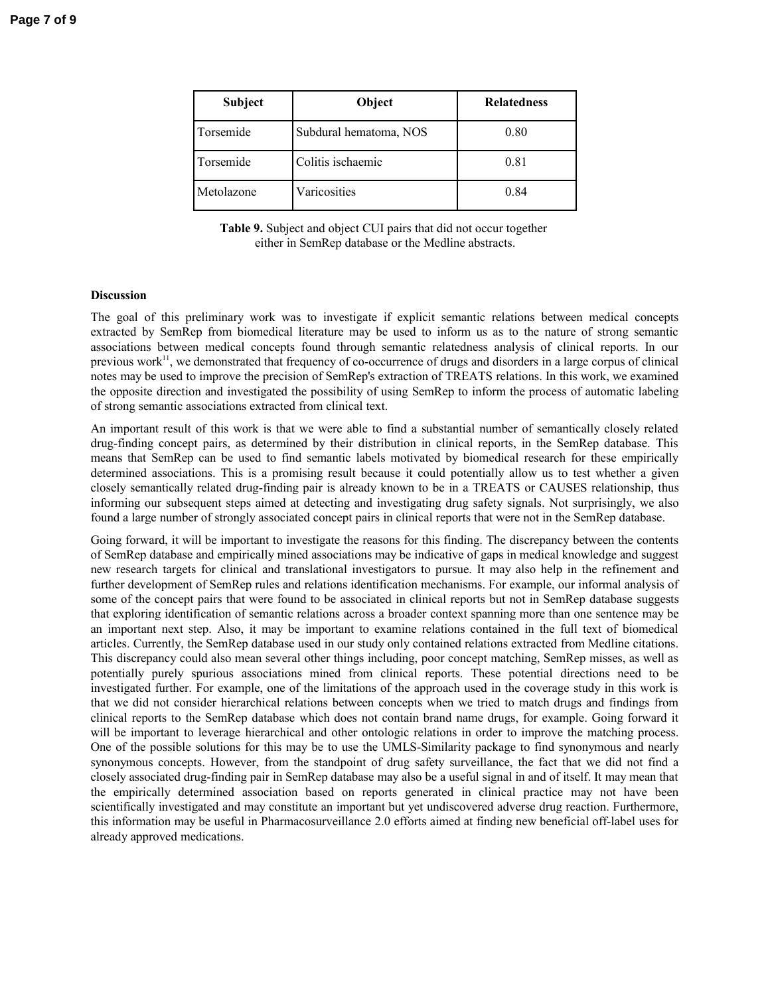| Subject    | Object                 | <b>Relatedness</b> |
|------------|------------------------|--------------------|
| Torsemide  | Subdural hematoma, NOS | 0.80               |
| Torsemide  | Colitis ischaemic      | 0.81               |
| Metolazone | Varicosities           | 0.84               |

**Table 9.** Subject and object CUI pairs that did not occur together either in SemRep database or the Medline abstracts.

## **Discussion**

The goal of this preliminary work was to investigate if explicit semantic relations between medical concepts extracted by SemRep from biomedical literature may be used to inform us as to the nature of strong semantic associations between medical concepts found through semantic relatedness analysis of clinical reports. In our previous work<sup>11</sup>, we demonstrated that frequency of co-occurrence of drugs and disorders in a large corpus of clinical notes may be used to improve the precision of SemRep's extraction of TREATS relations. In this work, we examined the opposite direction and investigated the possibility of using SemRep to inform the process of automatic labeling of strong semantic associations extracted from clinical text.

An important result of this work is that we were able to find a substantial number of semantically closely related drug-finding concept pairs, as determined by their distribution in clinical reports, in the SemRep database. This means that SemRep can be used to find semantic labels motivated by biomedical research for these empirically determined associations. This is a promising result because it could potentially allow us to test whether a given closely semantically related drug-finding pair is already known to be in a TREATS or CAUSES relationship, thus informing our subsequent steps aimed at detecting and investigating drug safety signals. Not surprisingly, we also found a large number of strongly associated concept pairs in clinical reports that were not in the SemRep database.

Going forward, it will be important to investigate the reasons for this finding. The discrepancy between the contents of SemRep database and empirically mined associations may be indicative of gaps in medical knowledge and suggest new research targets for clinical and translational investigators to pursue. It may also help in the refinement and further development of SemRep rules and relations identification mechanisms. For example, our informal analysis of some of the concept pairs that were found to be associated in clinical reports but not in SemRep database suggests that exploring identification of semantic relations across a broader context spanning more than one sentence may be an important next step. Also, it may be important to examine relations contained in the full text of biomedical articles. Currently, the SemRep database used in our study only contained relations extracted from Medline citations. This discrepancy could also mean several other things including, poor concept matching, SemRep misses, as well as potentially purely spurious associations mined from clinical reports. These potential directions need to be investigated further. For example, one of the limitations of the approach used in the coverage study in this work is that we did not consider hierarchical relations between concepts when we tried to match drugs and findings from clinical reports to the SemRep database which does not contain brand name drugs, for example. Going forward it will be important to leverage hierarchical and other ontologic relations in order to improve the matching process. One of the possible solutions for this may be to use the UMLS-Similarity package to find synonymous and nearly synonymous concepts. However, from the standpoint of drug safety surveillance, the fact that we did not find a closely associated drug-finding pair in SemRep database may also be a useful signal in and of itself. It may mean that the empirically determined association based on reports generated in clinical practice may not have been scientifically investigated and may constitute an important but yet undiscovered adverse drug reaction. Furthermore, this information may be useful in Pharmacosurveillance 2.0 efforts aimed at finding new beneficial off-label uses for already approved medications.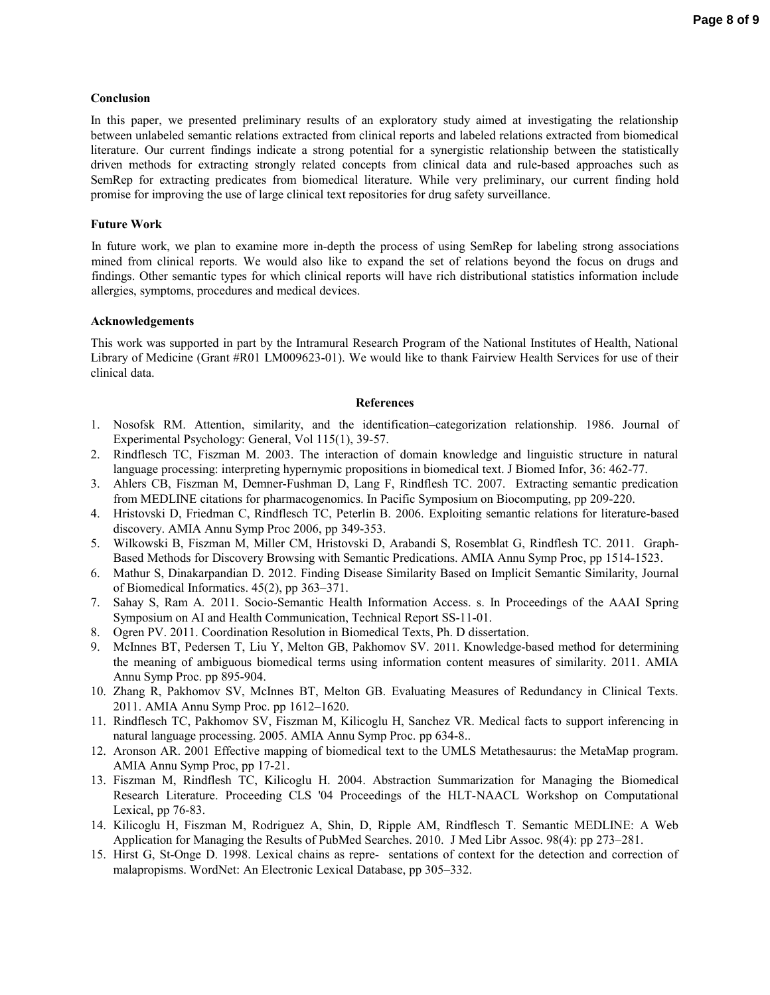#### **Conclusion**

In this paper, we presented preliminary results of an exploratory study aimed at investigating the relationship between unlabeled semantic relations extracted from clinical reports and labeled relations extracted from biomedical literature. Our current findings indicate a strong potential for a synergistic relationship between the statistically driven methods for extracting strongly related concepts from clinical data and rule-based approaches such as SemRep for extracting predicates from biomedical literature. While very preliminary, our current finding hold promise for improving the use of large clinical text repositories for drug safety surveillance.

#### **Future Work**

In future work, we plan to examine more in-depth the process of using SemRep for labeling strong associations mined from clinical reports. We would also like to expand the set of relations beyond the focus on drugs and findings. Other semantic types for which clinical reports will have rich distributional statistics information include allergies, symptoms, procedures and medical devices.

#### **Acknowledgements**

This work was supported in part by the Intramural Research Program of the National Institutes of Health, National Library of Medicine (Grant #R01 LM009623-01). We would like to thank Fairview Health Services for use of their clinical data.

#### **References**

- 1. Nosofsk RM. Attention, similarity, and the identification–categorization relationship. 1986. Journal of Experimental Psychology: General, Vol 115(1), 39-57.
- 2. Rindflesch TC, Fiszman M. 2003. The interaction of domain knowledge and linguistic structure in natural language processing: interpreting hypernymic propositions in biomedical text. J Biomed Infor, 36: 462-77.
- 3. Ahlers CB, Fiszman M, Demner-Fushman D, Lang F, Rindflesh TC. 2007. Extracting semantic predication from MEDLINE citations for pharmacogenomics. In Pacific Symposium on Biocomputing, pp 209-220.
- 4. Hristovski D, Friedman C, Rindflesch TC, Peterlin B. 2006. Exploiting semantic relations for literature-based discovery. AMIA Annu Symp Proc 2006, pp 349-353.
- 5. Wilkowski B, Fiszman M, Miller CM, Hristovski D, Arabandi S, Rosemblat G, Rindflesh TC. 2011. Graph-Based Methods for Discovery Browsing with Semantic Predications. AMIA Annu Symp Proc, pp 1514-1523.
- 6. Mathur S, Dinakarpandian D. 2012. Finding Disease Similarity Based on Implicit Semantic Similarity, Journal of Biomedical Informatics. 45(2), pp 363–371.
- 7. Sahay S, Ram A*.* 2011. Socio-Semantic Health Information Access. s. In Proceedings of the AAAI Spring Symposium on AI and Health Communication, Technical Report SS-11-01.
- 8. Ogren PV. 2011. Coordination Resolution in Biomedical Texts, Ph. D dissertation.
- 9. McInnes BT, Pedersen T, Liu Y, Melton GB, Pakhomov SV. 2011. Knowledge-based method for determining the meaning of ambiguous biomedical terms using information content measures of similarity. 2011. AMIA Annu Symp Proc. pp 895-904.
- 10. Zhang R, Pakhomov SV, McInnes BT, Melton GB. Evaluating Measures of Redundancy in Clinical Texts. 2011. AMIA Annu Symp Proc. pp 1612–1620.
- 11. Rindflesch TC, Pakhomov SV, Fiszman M, Kilicoglu H, Sanchez VR. Medical facts to support inferencing in natural language processing. 2005. AMIA Annu Symp Proc. pp 634-8..
- 12. Aronson AR. 2001 Effective mapping of biomedical text to the UMLS Metathesaurus: the MetaMap program. AMIA Annu Symp Proc, pp 17-21.
- 13. Fiszman M, Rindflesh TC, Kilicoglu H. 2004. Abstraction Summarization for Managing the Biomedical Research Literature. Proceeding CLS '04 Proceedings of the HLT-NAACL Workshop on Computational Lexical, pp 76-83.
- 14. Kilicoglu H, Fiszman M, Rodriguez A, Shin, D, Ripple AM, Rindflesch T. Semantic MEDLINE: A Web Application for Managing the Results of PubMed Searches. 2010. J Med Libr Assoc. 98(4): pp 273–281.
- 15. Hirst G, St-Onge D. 1998. Lexical chains as repre- sentations of context for the detection and correction of malapropisms. WordNet: An Electronic Lexical Database, pp 305–332.